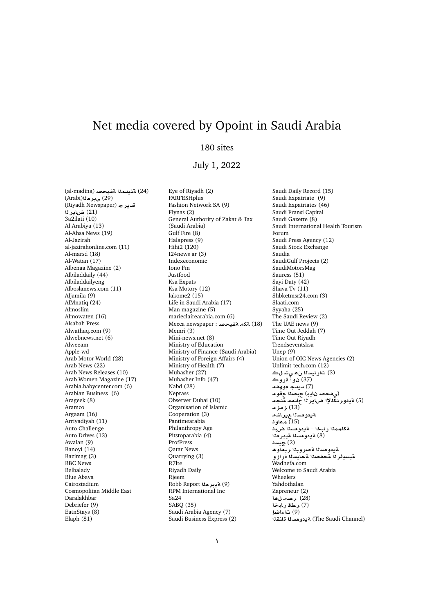## Net media covered by Opoint in Saudi Arabia

## 180 sites

## July 1, 2022

(al-madina) **}yfT md§nT** (24) (Arabi)**`r¨** (29) (Riyadh Newspaper) **r§d** (21) ض**اير ن**ا 3a2ilati (10) Al Arabiya (13) Al-Ahsa News (19) Al-Jazirah al-jazirahonline.com (11) Al-marsd (18) Al-Watan (17) Albenaa Magazine (2) Albiladdaily (44) Albiladdailyeng Alboslanews.com (11) Aljamila (9) AlMnatiq (24) Almoslim Almowaten (16) Alsabah Press Alwathaq.com (9) Alwebnews.net (6) Alweeam Apple-wd Arab Motor World (28) Arab News (22) Arab News Releases (10) Arab Women Magazine (17) Arabia.babycenter.com (6) Arabian Business (6) Arageek (8) Aramco Argaam (16) Arriyadiyah (11) Auto Challenge Auto Drives (13) Awalan (9) Banoyi (14) Bazimag (3) BBC News Belbalady Blue Abaya Cairostadium Cosmopolitan Middle East Daralakhbar Debriefer (9) EatnStays (8) Elaph (81)

Eye of Riyadh (2) **FARFESHplus** Fashion Network SA (9) Flynas (2) General Authority of Zakat & Tax (Saudi Arabia) Gulf Fire (8) Halapress (9) Hihi2 (120) I24news ar (3) Indexeconomic Iono Fm Justfood Ksa Expats Ksa Motory (12) lakome2 (15) Life in Saudi Arabia (17) Man magazine (5) marieclairearabia.com (6) Mecca newspaper : **تكه تضيحص**ة Memri (3) Mini-news.net (8) Ministry of Education Ministry of Finance (Saudi Arabia) Ministry of Foreign Affairs (4) Ministry of Health (7) Mubasher (27) Mubasher Info (47) Nabd (28) Neprass Observer Dubai (10) Organisation of Islamic Cooperation (3) Pantimearabia Philanthropy Age Pitstoparabia (4) **ProfPress** Qatar News Quarrying (3) R7lte Riyadh Daily Rjeem Robb Report **"A آنيبر ه**لا RPM International Inc Sa24 SABQ (35) Saudi Arabia Agency (7) Saudi Business Express (2)

Saudi Daily Record (15) Saudi Expatriate (9) Saudi Expatriates (46) Saudi Fransi Capital Saudi Gazette (8) Saudi International Health Tourism Forum Saudi Press Agency (12) Saudi Stock Exchange Saudia SaudiGulf Projects (2) SaudiMotorsMag Sauress (51) Sayi Daty (42) Shava Tv (11) Shbketmsr24.com (3) Slaati.com Syyaha (25) The Saudi Review (2) The UAE news (9) Time Out Jeddah (7) Time Out Riyadh Trendseventsksa Unep (9) Union of OIC News Agencies (2) Unlimit-tech.com (12) (3) ت<sub>ار</sub>ايسنا نء *ي شل*ڪ (37) نو**ا**ً قروڪ **(7) ديدج موھفھ** (*ي فح*ص ن\يڊ) ح.صدا ع قو م (5) ةي**نور تكللإا ضاير ل**ا حاتفه ةلجه .<br>(13) زمزم &يدو*حس*نا عيرا*شه* **w** (15) ة كلمم<sup>ز</sup>ا رابخا – ةيدو مس<sup>ز</sup>ا ضبذ .ب<br>(8) a**يدومسل**ا aيبر**م**لا **sy** (2) **¤يدومسن**ا **ةصروبنا ريم**آوھ **¤EC syAT OfT r¶ysyT** Wadhefa.com Welcome to Saudi Arabia Wheelers Yahdothalan Zapreneur (2) **(28) رصدلّ**هأ .<br>(7) **رطة** رابخأ (9) تاءاض<u>ا</u> (The Saudi Channel) a يدومسدا قانقذا